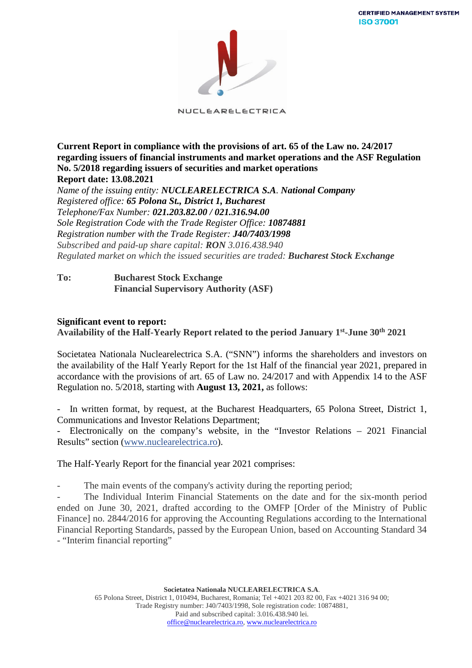

NUCLEARELECTRICA

**Current Report in compliance with the provisions of art. 65 of the Law no. 24/2017 regarding issuers of financial instruments and market operations and the ASF Regulation No. 5/2018 regarding issuers of securities and market operations Report date: 13.08.2021**

*Name of the issuing entity: NUCLEARELECTRICA S.A. National Company Registered office: 65 Polona St., District 1, Bucharest Telephone/Fax Number: 021.203.82.00 / 021.316.94.00 Sole Registration Code with the Trade Register Office: 10874881 Registration number with the Trade Register: J40/7403/1998 Subscribed and paid-up share capital: RON 3.016.438.940 Regulated market on which the issued securities are traded: Bucharest Stock Exchange*

## **To: Bucharest Stock Exchange Financial Supervisory Authority (ASF)**

### **Significant event to report:**

### **Availability of the Half-Yearly Report related to the period January 1st-June 30th 2021**

Societatea Nationala Nuclearelectrica S.A. ("SNN") informs the shareholders and investors on the availability of the Half Yearly Report for the 1st Half of the financial year 2021, prepared in accordance with the provisions of art. 65 of Law no. 24/2017 and with Appendix 14 to the ASF Regulation no. 5/2018, starting with **August 13, 2021,** as follows:

In written format, by request, at the Bucharest Headquarters, 65 Polona Street, District 1, Communications and Investor Relations Department;

Electronically on the company's website, in the "Investor Relations  $-2021$  Financial Results" section [\(www.nuclearelectrica.ro\)](http://www.nuclearelectrica.ro/).

The Half-Yearly Report for the financial year 2021 comprises:

The main events of the company's activity during the reporting period;

The Individual Interim Financial Statements on the date and for the six-month period ended on June 30, 2021, drafted according to the OMFP [Order of the Ministry of Public Finance] no. 2844/2016 for approving the Accounting Regulations according to the International Financial Reporting Standards, passed by the European Union, based on Accounting Standard 34 - "Interim financial reporting"

> **Societatea Nationala NUCLEARELECTRICA S.A**. 65 Polona Street, District 1, 010494, Bucharest, Romania; Tel +4021 203 82 00, Fax +4021 316 94 00; Trade Registry number: J40/7403/1998, Sole registration code: 10874881, Paid and subscribed capital: 3.016.438.940 lei. [office@nuclearelectrica.ro,](mailto:office@nuclearelectrica.ro) [www.nuclearelectrica.ro](http://www.nuclearelectrica.ro/)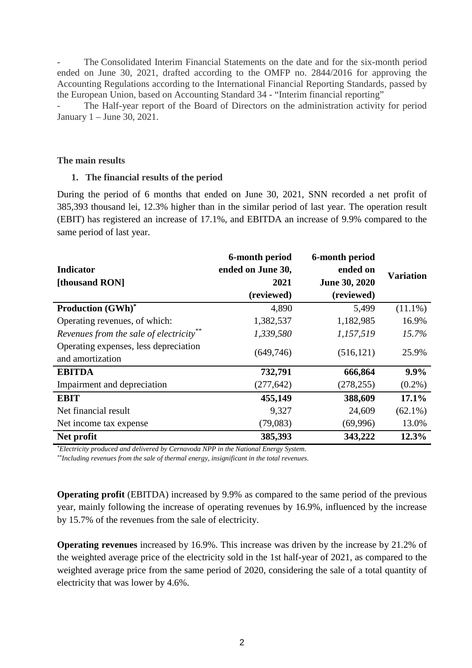The Consolidated Interim Financial Statements on the date and for the six-month period ended on June 30, 2021, drafted according to the OMFP no. 2844/2016 for approving the Accounting Regulations according to the International Financial Reporting Standards, passed by the European Union, based on Accounting Standard 34 - "Interim financial reporting"

The Half-year report of the Board of Directors on the administration activity for period January 1 – June 30, 2021.

#### **The main results**

#### **1. The financial results of the period**

During the period of 6 months that ended on June 30, 2021, SNN recorded a net profit of 385,393 thousand lei, 12.3% higher than in the similar period of last year. The operation result (EBIT) has registered an increase of 17.1%, and EBITDA an increase of 9.9% compared to the same period of last year.

| Indicator<br>[thousand RON]                               | 6-month period<br>ended on June 30,<br>2021<br>(reviewed) | 6-month period<br>ended on<br>June 30, 2020<br>(reviewed) | <b>Variation</b> |
|-----------------------------------------------------------|-----------------------------------------------------------|-----------------------------------------------------------|------------------|
| <b>Production (GWh)*</b>                                  | 4,890                                                     | 5,499                                                     | $(11.1\%)$       |
| Operating revenues, of which:                             | 1,382,537                                                 | 1,182,985                                                 | 16.9%            |
| Revenues from the sale of electricity**                   | 1,339,580                                                 | 1,157,519                                                 | 15.7%            |
| Operating expenses, less depreciation<br>and amortization | (649,746)                                                 | (516, 121)                                                | 25.9%            |
| <b>EBITDA</b>                                             | 732,791                                                   | 666,864                                                   | 9.9%             |
| Impairment and depreciation                               | (277, 642)                                                | (278, 255)                                                | $(0.2\%)$        |
| <b>EBIT</b>                                               | 455,149                                                   | 388,609                                                   | 17.1%            |
| Net financial result                                      | 9,327                                                     | 24,609                                                    | $(62.1\%)$       |
| Net income tax expense                                    | (79,083)                                                  | (69,996)                                                  | 13.0%            |
| Net profit                                                | 385,393                                                   | 343,222                                                   | 12.3%            |

*\*Electricity produced and delivered by Cernavoda NPP in the National Energy System.*

*\*\*Including revenues from the sale of thermal energy, insignificant in the total revenues.*

**Operating profit** (EBITDA) increased by 9.9% as compared to the same period of the previous year, mainly following the increase of operating revenues by 16.9%, influenced by the increase by 15.7% of the revenues from the sale of electricity.

**Operating revenues** increased by 16.9%. This increase was driven by the increase by 21.2% of the weighted average price of the electricity sold in the 1st half-year of 2021, as compared to the weighted average price from the same period of 2020, considering the sale of a total quantity of electricity that was lower by 4.6%.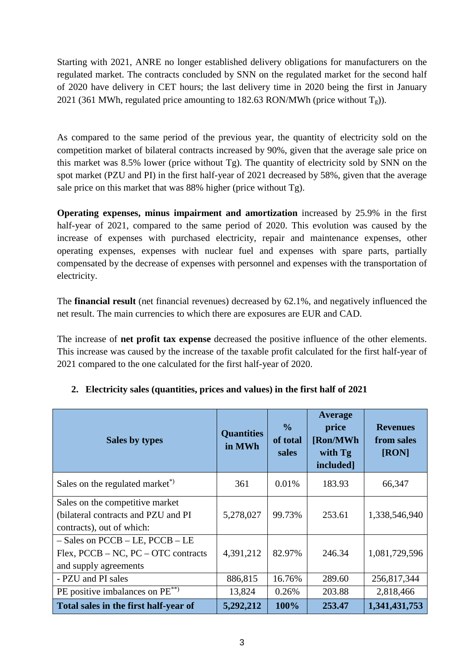Starting with 2021, ANRE no longer established delivery obligations for manufacturers on the regulated market. The contracts concluded by SNN on the regulated market for the second half of 2020 have delivery in CET hours; the last delivery time in 2020 being the first in January 2021 (361 MWh, regulated price amounting to 182.63 RON/MWh (price without  $T_g$ )).

As compared to the same period of the previous year, the quantity of electricity sold on the competition market of bilateral contracts increased by 90%, given that the average sale price on this market was 8.5% lower (price without Tg). The quantity of electricity sold by SNN on the spot market (PZU and PI) in the first half-year of 2021 decreased by 58%, given that the average sale price on this market that was 88% higher (price without Tg).

**Operating expenses, minus impairment and amortization** increased by 25.9% in the first half-year of 2021, compared to the same period of 2020. This evolution was caused by the increase of expenses with purchased electricity, repair and maintenance expenses, other operating expenses, expenses with nuclear fuel and expenses with spare parts, partially compensated by the decrease of expenses with personnel and expenses with the transportation of electricity.

The **financial result** (net financial revenues) decreased by 62.1%, and negatively influenced the net result. The main currencies to which there are exposures are EUR and CAD.

The increase of **net profit tax expense** decreased the positive influence of the other elements. This increase was caused by the increase of the taxable profit calculated for the first half-year of 2021 compared to the one calculated for the first half-year of 2020.

| Sales by types                                                                                          | <b>Quantities</b><br>in MWh | $\frac{0}{0}$<br>of total<br>sales | Average<br>price<br>[Ron/MWh<br>with Tg<br>included] | <b>Revenues</b><br>from sales<br>[RON] |
|---------------------------------------------------------------------------------------------------------|-----------------------------|------------------------------------|------------------------------------------------------|----------------------------------------|
| Sales on the regulated market <sup>*</sup>                                                              | 361                         | 0.01%                              | 183.93                                               | 66,347                                 |
| Sales on the competitive market<br>(bilateral contracts and PZU and PI<br>contracts), out of which:     | 5,278,027                   | 99.73%                             | 253.61                                               | 1,338,546,940                          |
| $-$ Sales on PCCB $-$ LE, PCCB $-$ LE<br>$Flex, PCCB - NC, PC - OTC contracts$<br>and supply agreements | 4,391,212                   | 82.97%                             | 246.34                                               | 1,081,729,596                          |
| - PZU and PI sales                                                                                      | 886,815                     | 16.76%                             | 289.60                                               | 256,817,344                            |
| PE positive imbalances on PE <sup>**</sup>                                                              | 13,824                      | 0.26%                              | 203.88                                               | 2,818,466                              |
| Total sales in the first half-year of                                                                   | 5,292,212                   | 100%                               | 253.47                                               | 1,341,431,753                          |

# **2. Electricity sales (quantities, prices and values) in the first half of 2021**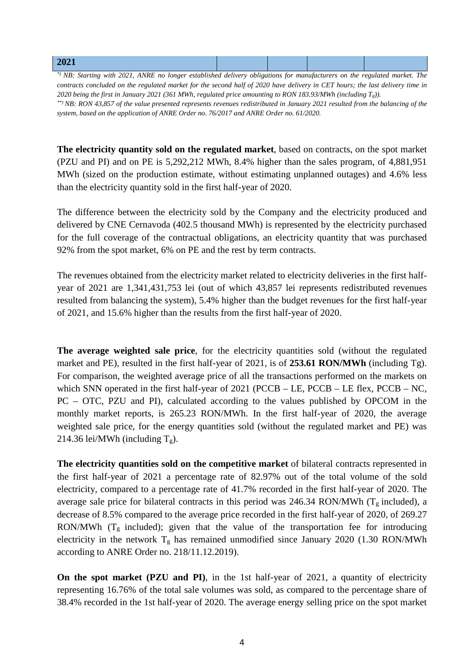| 2021                               |        |  |     |
|------------------------------------|--------|--|-----|
| $\sim$ $\sim$ $\sim$ $\sim$ $\sim$ | .<br>. |  | ___ |

*\*) NB: Starting with 2021, ANRE no longer established delivery obligations for manufacturers on the regulated market. The contracts concluded on the regulated market for the second half of 2020 have delivery in CET hours; the last delivery time in 2020 being the first in January 2021 (361 MWh, regulated price amounting to RON 183.93/MWh (including Tg)). \*\*) NB: RON 43,857 of the value presented represents revenues redistributed in January 2021 resulted from the balancing of the system, based on the application of ANRE Order no. 76/2017 and ANRE Order no. 61/2020.*

**The electricity quantity sold on the regulated market**, based on contracts, on the spot market (PZU and PI) and on PE is 5,292,212 MWh, 8.4% higher than the sales program, of 4,881,951 MWh (sized on the production estimate, without estimating unplanned outages) and 4.6% less than the electricity quantity sold in the first half-year of 2020.

The difference between the electricity sold by the Company and the electricity produced and delivered by CNE Cernavoda (402.5 thousand MWh) is represented by the electricity purchased for the full coverage of the contractual obligations, an electricity quantity that was purchased 92% from the spot market, 6% on PE and the rest by term contracts.

The revenues obtained from the electricity market related to electricity deliveries in the first halfyear of 2021 are 1,341,431,753 lei (out of which 43,857 lei represents redistributed revenues resulted from balancing the system), 5.4% higher than the budget revenues for the first half-year of 2021, and 15.6% higher than the results from the first half-year of 2020.

**The average weighted sale price**, for the electricity quantities sold (without the regulated market and PE), resulted in the first half-year of 2021, is of **253.61 RON/MWh** (including Tg). For comparison, the weighted average price of all the transactions performed on the markets on which SNN operated in the first half-year of 2021 (PCCB – LE, PCCB – LE flex, PCCB – NC, PC – OTC, PZU and PI), calculated according to the values published by OPCOM in the monthly market reports, is 265.23 RON/MWh. In the first half-year of 2020, the average weighted sale price, for the energy quantities sold (without the regulated market and PE) was 214.36 lei/MWh (including  $T_g$ ).

**The electricity quantities sold on the competitive market** of bilateral contracts represented in the first half-year of 2021 a percentage rate of 82.97% out of the total volume of the sold electricity, compared to a percentage rate of 41.7% recorded in the first half-year of 2020. The average sale price for bilateral contracts in this period was 246.34 RON/MWh ( $T_g$  included), a decrease of 8.5% compared to the average price recorded in the first half-year of 2020, of 269.27 RON/MWh  $(T<sub>g</sub>$  included); given that the value of the transportation fee for introducing electricity in the network  $T_g$  has remained unmodified since January 2020 (1.30 RON/MWh according to ANRE Order no. 218/11.12.2019).

**On the spot market (PZU and PI)**, in the 1st half-year of 2021, a quantity of electricity representing 16.76% of the total sale volumes was sold, as compared to the percentage share of 38.4% recorded in the 1st half-year of 2020. The average energy selling price on the spot market